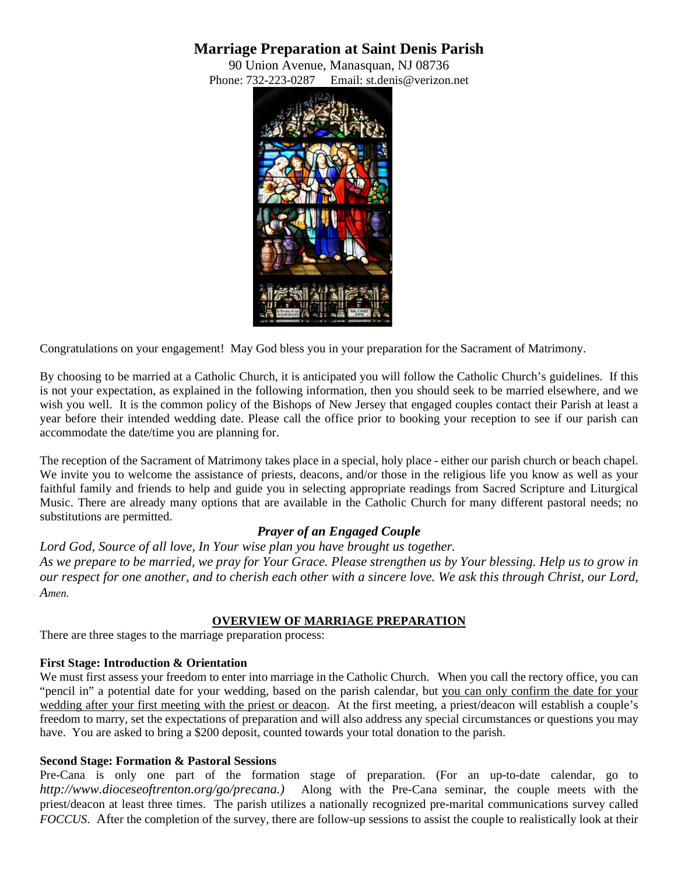# **Marriage Preparation at Saint Denis Parish**

90 Union Avenue, Manasquan, NJ 08736 Phone: 732-223-0287 Email: st.denis@verizon.net



Congratulations on your engagement! May God bless you in your preparation for the Sacrament of Matrimony.

By choosing to be married at a Catholic Church, it is anticipated you will follow the Catholic Church's guidelines. If this is not your expectation, as explained in the following information, then you should seek to be married elsewhere, and we wish you well. It is the common policy of the Bishops of New Jersey that engaged couples contact their Parish at least a year before their intended wedding date. Please call the office prior to booking your reception to see if our parish can accommodate the date/time you are planning for.

The reception of the Sacrament of Matrimony takes place in a special, holy place - either our parish church or beach chapel. We invite you to welcome the assistance of priests, deacons, and/or those in the religious life you know as well as your faithful family and friends to help and guide you in selecting appropriate readings from Sacred Scripture and Liturgical Music. There are already many options that are available in the Catholic Church for many different pastoral needs; no substitutions are permitted.

# *Prayer of an Engaged Couple*

*Lord God, Source of all love, In Your wise plan you have brought us together. As we prepare to be married, we pray for Your Grace. Please strengthen us by Your blessing. Help us to grow in our respect for one another, and to cherish each other with a sincere love. We ask this through Christ, our Lord, Amen.* 

# **OVERVIEW OF MARRIAGE PREPARATION**

There are three stages to the marriage preparation process:

# **First Stage: Introduction & Orientation**

We must first assess your freedom to enter into marriage in the Catholic Church. When you call the rectory office, you can "pencil in" a potential date for your wedding, based on the parish calendar, but you can only confirm the date for your wedding after your first meeting with the priest or deacon. At the first meeting, a priest/deacon will establish a couple's freedom to marry, set the expectations of preparation and will also address any special circumstances or questions you may have. You are asked to bring a \$200 deposit, counted towards your total donation to the parish.

### **Second Stage: Formation & Pastoral Sessions**

Pre-Cana is only one part of the formation stage of preparation. (For an up-to-date calendar, go to *http://www.dioceseoftrenton.org/go/precana.)* Along with the Pre-Cana seminar, the couple meets with the priest/deacon at least three times. The parish utilizes a nationally recognized pre-marital communications survey called *FOCCUS*. After the completion of the survey, there are follow-up sessions to assist the couple to realistically look at their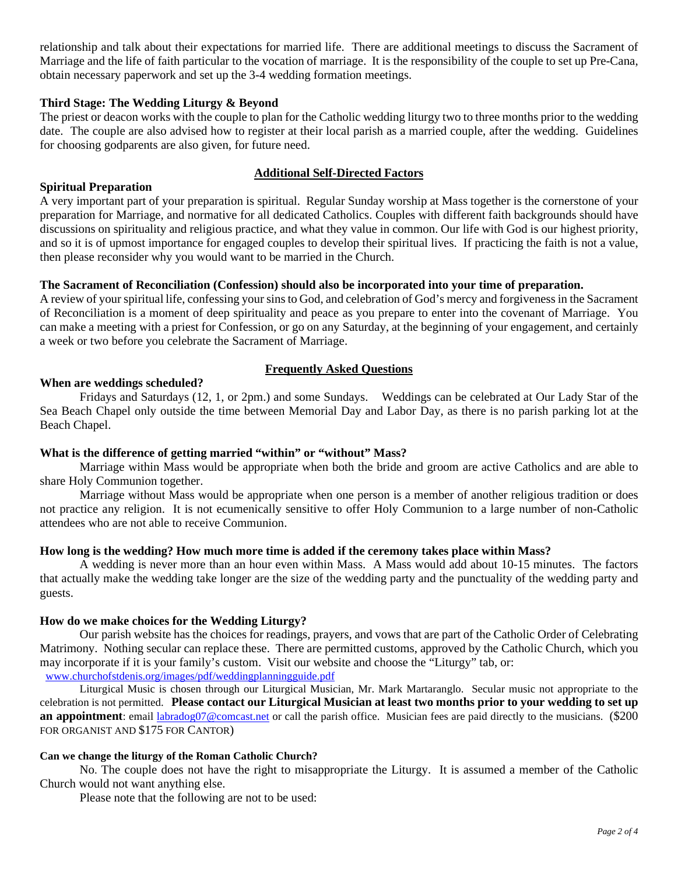relationship and talk about their expectations for married life. There are additional meetings to discuss the Sacrament of Marriage and the life of faith particular to the vocation of marriage. It is the responsibility of the couple to set up Pre-Cana, obtain necessary paperwork and set up the 3-4 wedding formation meetings.

### **Third Stage: The Wedding Liturgy & Beyond**

The priest or deacon works with the couple to plan for the Catholic wedding liturgy two to three months prior to the wedding date. The couple are also advised how to register at their local parish as a married couple, after the wedding. Guidelines for choosing godparents are also given, for future need.

#### **Additional Self-Directed Factors**

### **Spiritual Preparation**

A very important part of your preparation is spiritual. Regular Sunday worship at Mass together is the cornerstone of your preparation for Marriage, and normative for all dedicated Catholics. Couples with different faith backgrounds should have discussions on spirituality and religious practice, and what they value in common. Our life with God is our highest priority, and so it is of upmost importance for engaged couples to develop their spiritual lives. If practicing the faith is not a value, then please reconsider why you would want to be married in the Church.

#### **The Sacrament of Reconciliation (Confession) should also be incorporated into your time of preparation.**

A review of your spiritual life, confessing your sins to God, and celebration of God's mercy and forgiveness in the Sacrament of Reconciliation is a moment of deep spirituality and peace as you prepare to enter into the covenant of Marriage. You can make a meeting with a priest for Confession, or go on any Saturday, at the beginning of your engagement, and certainly a week or two before you celebrate the Sacrament of Marriage.

#### **Frequently Asked Questions**

# **When are weddings scheduled?**

Fridays and Saturdays (12, 1, or 2pm.) and some Sundays. Weddings can be celebrated at Our Lady Star of the Sea Beach Chapel only outside the time between Memorial Day and Labor Day, as there is no parish parking lot at the Beach Chapel.

### **What is the difference of getting married "within" or "without" Mass?**

Marriage within Mass would be appropriate when both the bride and groom are active Catholics and are able to share Holy Communion together.

Marriage without Mass would be appropriate when one person is a member of another religious tradition or does not practice any religion. It is not ecumenically sensitive to offer Holy Communion to a large number of non-Catholic attendees who are not able to receive Communion.

#### **How long is the wedding? How much more time is added if the ceremony takes place within Mass?**

A wedding is never more than an hour even within Mass. A Mass would add about 10-15 minutes. The factors that actually make the wedding take longer are the size of the wedding party and the punctuality of the wedding party and guests.

#### **How do we make choices for the Wedding Liturgy?**

Our parish website has the choices for readings, prayers, and vows that are part of the Catholic Order of Celebrating Matrimony. Nothing secular can replace these. There are permitted customs, approved by the Catholic Church, which you may incorporate if it is your family's custom. Visit our website and choose the "Liturgy" tab, or:

[www.churchofstdenis.org/images/pdf/weddingplanningguide.pdf](http://www.churchofstdenis.org/images/pdf/weddingplanningguide.pdf)

Liturgical Music is chosen through our Liturgical Musician, Mr. Mark Martaranglo. Secular music not appropriate to the celebration is not permitted. **Please contact our Liturgical Musician at least two months prior to your wedding to set up an appointment**: email [labradog07@comcast.net](mailto:labradog07@comcast.net) or call the parish office. Musician fees are paid directly to the musicians. (\$200) FOR ORGANIST AND \$175 FOR CANTOR)

#### **Can we change the liturgy of the Roman Catholic Church?**

No. The couple does not have the right to misappropriate the Liturgy. It is assumed a member of the Catholic Church would not want anything else.

Please note that the following are not to be used: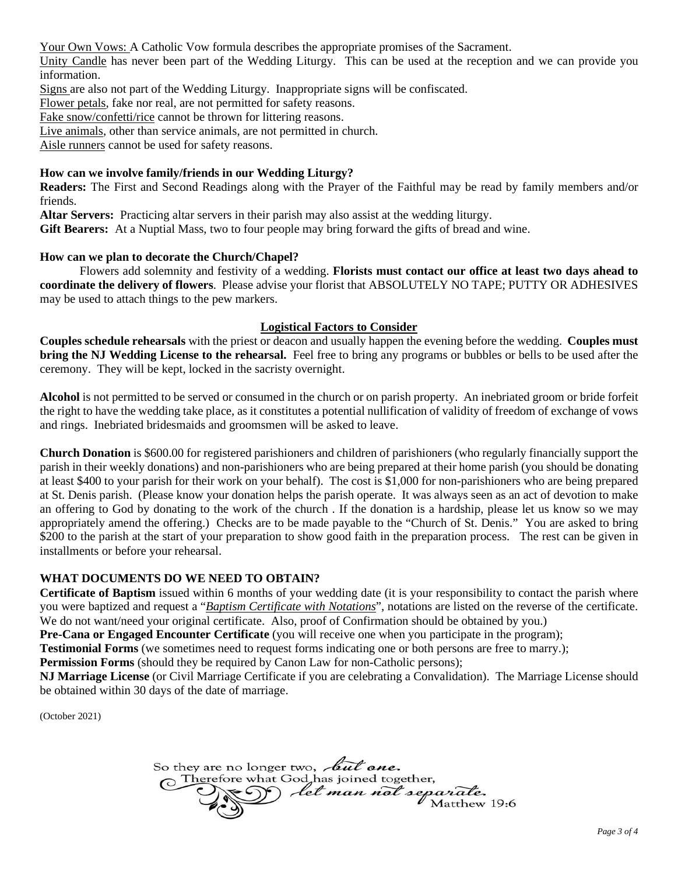Your Own Vows: A Catholic Vow formula describes the appropriate promises of the Sacrament.

Unity Candle has never been part of the Wedding Liturgy. This can be used at the reception and we can provide you information.

Signs are also not part of the Wedding Liturgy. Inappropriate signs will be confiscated.

Flower petals, fake nor real, are not permitted for safety reasons.

Fake snow/confetti/rice cannot be thrown for littering reasons.

Live animals, other than service animals, are not permitted in church.

Aisle runners cannot be used for safety reasons.

# **How can we involve family/friends in our Wedding Liturgy?**

**Readers:** The First and Second Readings along with the Prayer of the Faithful may be read by family members and/or friends.

**Altar Servers:** Practicing altar servers in their parish may also assist at the wedding liturgy.

**Gift Bearers:** At a Nuptial Mass, two to four people may bring forward the gifts of bread and wine.

## **How can we plan to decorate the Church/Chapel?**

Flowers add solemnity and festivity of a wedding. **Florists must contact our office at least two days ahead to coordinate the delivery of flowers**. Please advise your florist that ABSOLUTELY NO TAPE; PUTTY OR ADHESIVES may be used to attach things to the pew markers.

## **Logistical Factors to Consider**

**Couples schedule rehearsals** with the priest or deacon and usually happen the evening before the wedding. **Couples must bring the NJ Wedding License to the rehearsal.** Feel free to bring any programs or bubbles or bells to be used after the ceremony. They will be kept, locked in the sacristy overnight.

**Alcohol** is not permitted to be served or consumed in the church or on parish property. An inebriated groom or bride forfeit the right to have the wedding take place, as it constitutes a potential nullification of validity of freedom of exchange of vows and rings. Inebriated bridesmaids and groomsmen will be asked to leave.

**Church Donation** is \$600.00 for registered parishioners and children of parishioners (who regularly financially support the parish in their weekly donations) and non-parishioners who are being prepared at their home parish (you should be donating at least \$400 to your parish for their work on your behalf). The cost is \$1,000 for non-parishioners who are being prepared at St. Denis parish. (Please know your donation helps the parish operate. It was always seen as an act of devotion to make an offering to God by donating to the work of the church . If the donation is a hardship, please let us know so we may appropriately amend the offering.) Checks are to be made payable to the "Church of St. Denis." You are asked to bring \$200 to the parish at the start of your preparation to show good faith in the preparation process. The rest can be given in installments or before your rehearsal.

# **WHAT DOCUMENTS DO WE NEED TO OBTAIN?**

**Certificate of Baptism** issued within 6 months of your wedding date (it is your responsibility to contact the parish where you were baptized and request a "*Baptism Certificate with Notations*", notations are listed on the reverse of the certificate. We do not want/need your original certificate. Also, proof of Confirmation should be obtained by you.)

**Pre-Cana or Engaged Encounter Certificate** (you will receive one when you participate in the program);

**Testimonial Forms** (we sometimes need to request forms indicating one or both persons are free to marry.);

**Permission Forms** (should they be required by Canon Law for non-Catholic persons);

**NJ Marriage License** (or Civil Marriage Certificate if you are celebrating a Convalidation). The Marriage License should be obtained within 30 days of the date of marriage.

(October 2021)